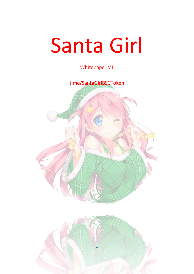# Santa Girl

Whitepaper V1

t.me/SantaGirlBSCToken



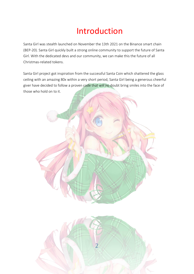## Introduction

Santa Girl was stealth launched on November the 13th 2021 on the Binance smart chain (BEP-20). Santa Girl quickly built a strong online community to support the future of Santa Girl. With the dedicated devs and our community, we can make this the future of all Christmas-related tokens.

Santa Girl project got inspiration from the successful Santa Coin which shattered the glass ceiling with an amazing 80x within a very short period, Santa Girl being a generous cheerful giver have decided to follow a proven code that will no doubt bring smiles into the face of those who hold on to it.



2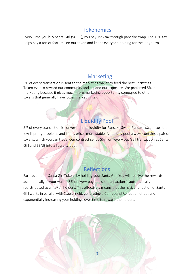#### **Tokenomics**

Every Time you buy Santa Girl (SGIRL), you pay 15% tax through pancake swap. The 15% tax helps pay a ton of features on our token and keeps everyone holding for the long term.

#### Marketing

5% of every transaction is sent to the marketing wallet to feed the best Christmas. Token ever to reward our community and expand our exposure. We preferred 5% in marketing because it gives much more marketing opportunity compared to other tokens that generally have lower marketing tax.

#### Liquidity Pool

5% of every transaction is converted into liquidity for Pancake Swap. Pancake swap fixes the low liquidity problems and keeps prices more stable. A liquidity pool always contains a pair of tokens, which you can trade. Our contract sends 5% from every buy/sell transaction as Santa Girl and \$BNB into a liquidity pool.

#### Reflections

Earn automatic Santa Girl Tokens by holding your Santa Girl. You will receive the rewards automatically in your wallet. 5% of every buy and sell transaction is automatically redistributed to all token holders. This effectively means that the native reflection of Santa Girl works in parallel with Stable Yield, generating a Compound Reflection effect and exponentially increasing your holdings over time to reward the holders.

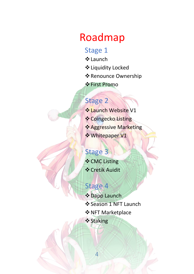# Roadmap

#### Stage 1

- ❖Launch
- ❖Liquidity Locked
- ❖Renounce Ownership
- ❖First Promo

## Stage 2

- ❖Launch Website V1
- ❖Coingecko Listing
- ❖Aggressive Marketing
- ❖Whitepaper V1

## Stage 3

- ❖CMC Listing
- ❖Cretik Auidit

## Stage 4

❖Dapp Launch ❖Season 1 NFT Launch ❖NFT Marketplace ❖Staking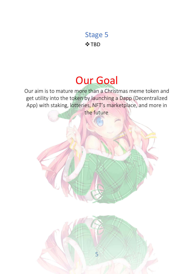#### Stage 5

❖TBD

# Our Goal

Our aim is to mature more than a Christmas meme token and get utility into the token by launching a Dapp (Decentralized App) with staking, lotteries, NFT's marketplace, and more in the future.

5